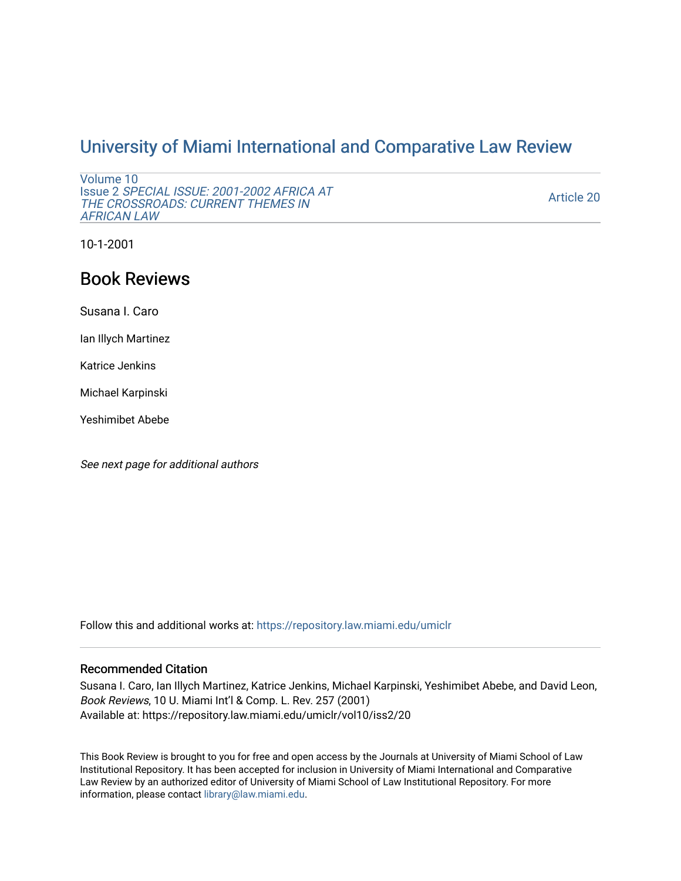## [University of Miami International and Comparative Law Review](https://repository.law.miami.edu/umiclr)

```
Volume 10 
Issue 2 SPECIAL ISSUE: 2001-2002 AFRICA AT 
THE CROSSROADS: CURRENT THEMES IN 
AFRICAN LAW
```
[Article 20](https://repository.law.miami.edu/umiclr/vol10/iss2/20) 

10-1-2001

# Book Reviews

Susana I. Caro

Ian Illych Martinez

Katrice Jenkins

Michael Karpinski

Yeshimibet Abebe

See next page for additional authors

Follow this and additional works at: [https://repository.law.miami.edu/umiclr](https://repository.law.miami.edu/umiclr?utm_source=repository.law.miami.edu%2Fumiclr%2Fvol10%2Fiss2%2F20&utm_medium=PDF&utm_campaign=PDFCoverPages)

### Recommended Citation

Susana I. Caro, Ian Illych Martinez, Katrice Jenkins, Michael Karpinski, Yeshimibet Abebe, and David Leon, Book Reviews, 10 U. Miami Int'l & Comp. L. Rev. 257 (2001) Available at: https://repository.law.miami.edu/umiclr/vol10/iss2/20

This Book Review is brought to you for free and open access by the Journals at University of Miami School of Law Institutional Repository. It has been accepted for inclusion in University of Miami International and Comparative Law Review by an authorized editor of University of Miami School of Law Institutional Repository. For more information, please contact [library@law.miami.edu](mailto:library@law.miami.edu).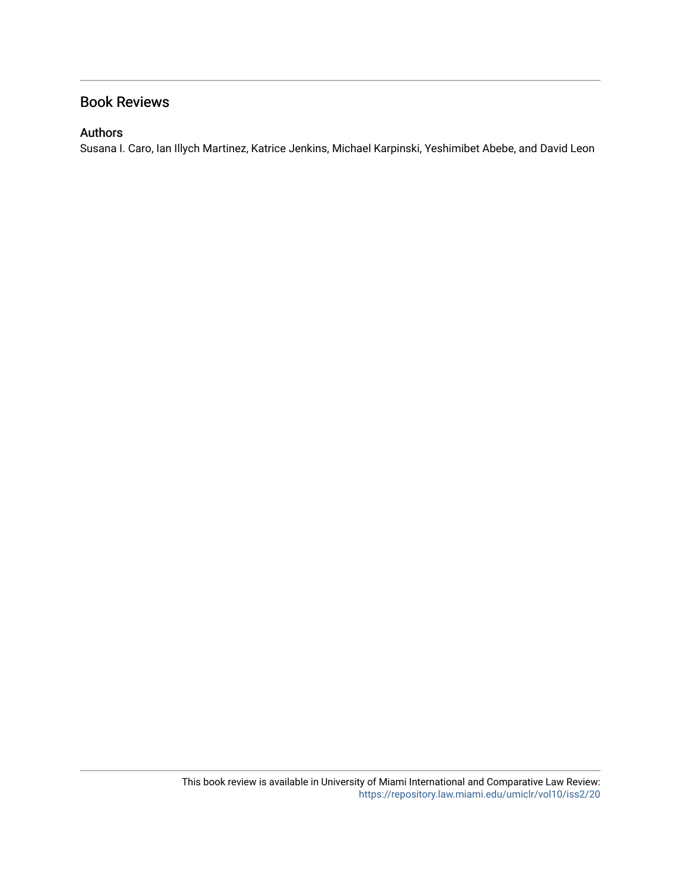## Book Reviews

### Authors

Susana I. Caro, Ian Illych Martinez, Katrice Jenkins, Michael Karpinski, Yeshimibet Abebe, and David Leon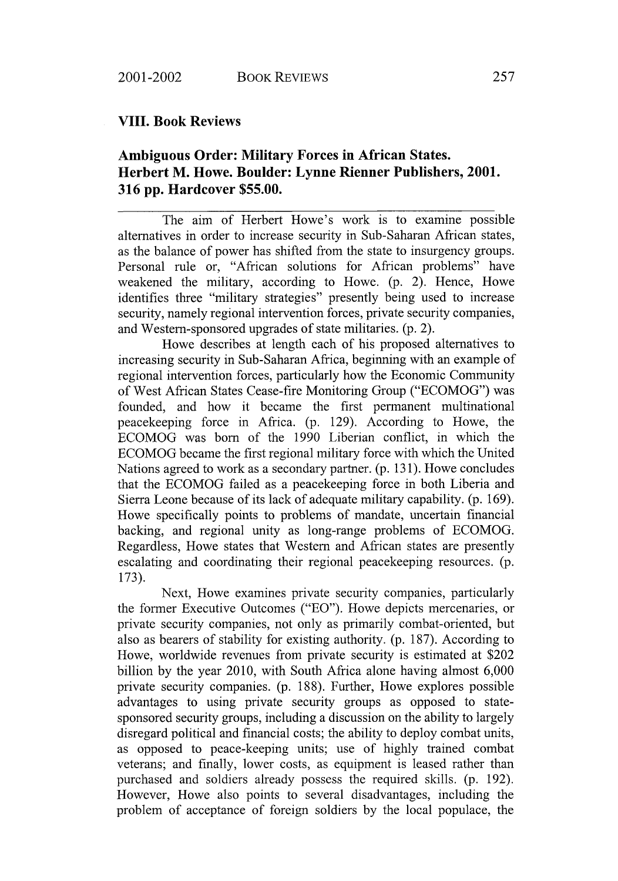#### **VIII. Book Reviews**

## **Ambiguous Order: Military Forces in African States. Herbert M. Howe. Boulder: Lynne Rienner Publishers, 2001. 316 pp. Hardcover \$55.00.**

The aim of Herbert Howe's work is to examine possible alternatives in order to increase security in Sub-Saharan African states, as the balance of power has shifted from the state to insurgency groups. Personal rule or, "African solutions for African problems" have weakened the military, according to Howe. (p. 2). Hence, Howe identifies three "military strategies" presently being used to increase security, namely regional intervention forces, private security companies, and Western-sponsored upgrades of state militaries. (p. 2).

Howe describes at length each of his proposed alternatives to increasing security in Sub-Saharan Africa, beginning with an example of regional intervention forces, particularly how the Economic Community of West African States Cease-fire Monitoring Group ("ECOMOG") was founded, and how it became the first permanent multinational peacekeeping force in Africa. (p. 129). According to Howe, the ECOMOG was born of the 1990 Liberian conflict, in which the ECOMOG became the first regional military force with which the United Nations agreed to work as a secondary partner. (p. 131). Howe concludes that the ECOMOG failed as a peacekeeping force in both Liberia and Sierra Leone because of its lack of adequate military capability. (p. 169). Howe specifically points to problems of mandate, uncertain financial backing, and regional unity as long-range problems of ECOMOG. Regardless, Howe states that Western and African states are presently escalating and coordinating their regional peacekeeping resources. (p. 173).

Next, Howe examines private security companies, particularly the former Executive Outcomes ("EO"). Howe depicts mercenaries, or private security companies, not only as primarily combat-oriented, but also as bearers of stability for existing authority. (p. 187). According to Howe, worldwide revenues from private security is estimated at \$202 billion by the year 2010, with South Africa alone having almost 6,000 private security companies. (p. 188). Further, Howe explores possible advantages to using private security groups as opposed to statesponsored security groups, including a discussion on the ability to largely disregard political and financial costs; the ability to deploy combat units, as opposed to peace-keeping units; use of highly trained combat veterans; and finally, lower costs, as equipment is leased rather than purchased and soldiers already possess the required skills. (p. 192). However, Howe also points to several disadvantages, including the problem of acceptance of foreign soldiers by the local populace, the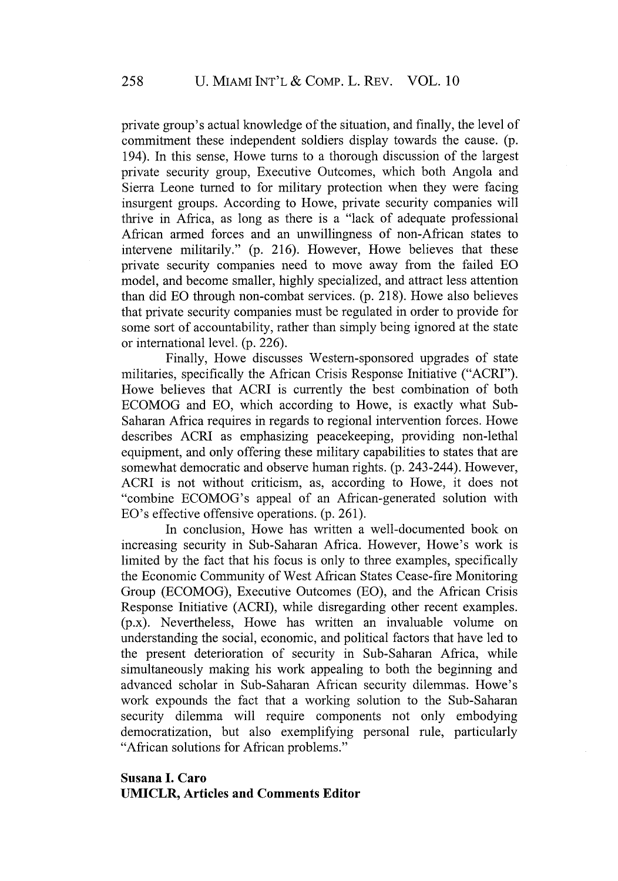private group's actual knowledge of the situation, and finally, the level of commitment these independent soldiers display towards the cause. (p. 194). In this sense, Howe turns to a thorough discussion of the largest private security group, Executive Outcomes, which both Angola and Sierra Leone turned to for military protection when they were facing insurgent groups. According to Howe, private security companies will thrive in Africa, as long as there is a "lack of adequate professional African armed forces and an unwillingness of non-African states to intervene militarily." (p. 216). However, Howe believes that these private security companies need to move away from the failed EO model, and become smaller, highly specialized, and attract less attention than did **EO** through non-combat services. (p. 218). Howe also believes that private security companies must be regulated in order to provide for some sort of accountability, rather than simply being ignored at the state or international level. (p. 226).

Finally, Howe discusses Western-sponsored upgrades of state militaries, specifically the African Crisis Response Initiative ("ACRI"). Howe believes that ACRI is currently the best combination of both ECOMOG and EO, which according to Howe, is exactly what Sub-Saharan Africa requires in regards to regional intervention forces. Howe describes ACRI as emphasizing peacekeeping, providing non-lethal equipment, and only offering these military capabilities to states that are somewhat democratic and observe human rights. (p. 243-244). However, ACRI is not without criticism, as, according to Howe, it does not "combine ECOMOG's appeal of an African-generated solution with EO's effective offensive operations. (p. 261).

In conclusion, Howe has written a well-documented book on increasing security in Sub-Saharan Africa. However, Howe's work is limited by the fact that his focus is only to three examples, specifically the Economic Community of West African States Cease-fire Monitoring Group (ECOMOG), Executive Outcomes (EO), and the African Crisis Response Initiative (ACRI), while disregarding other recent examples. (p.x). Nevertheless, Howe has written an invaluable volume on understanding the social, economic, and political factors that have led to the present deterioration of security in Sub-Saharan Africa, while simultaneously making his work appealing to both the beginning and advanced scholar in Sub-Saharan African security dilemmas. Howe's work expounds the fact that a working solution to the Sub-Saharan security dilemma will require components not only embodying democratization, but also exemplifying personal rule, particularly "African solutions for African problems."

#### **Susana I. Caro UMICLR, Articles and Comments Editor**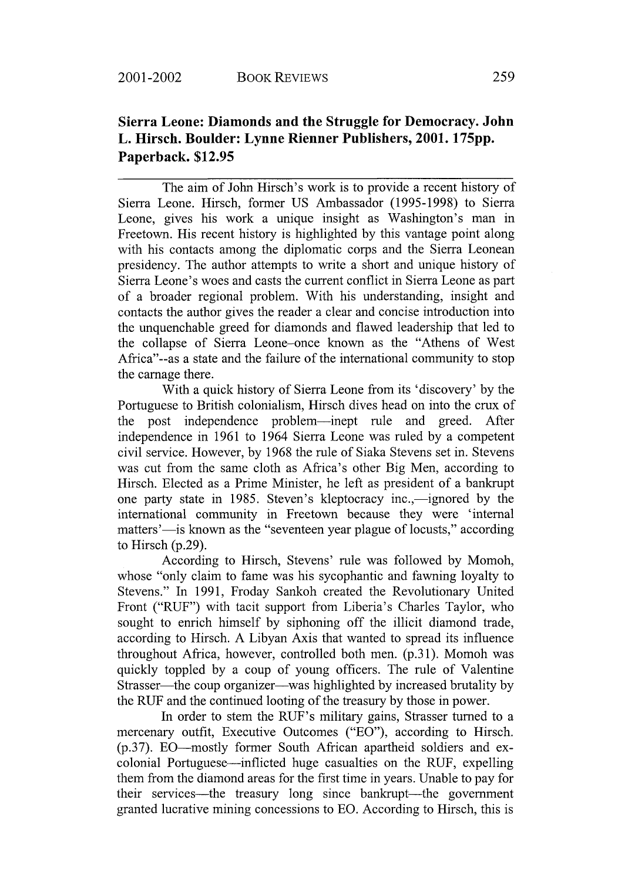## **Sierra Leone: Diamonds and the Struggle for Democracy. John L. Hirsch. Boulder: Lynne Rienner Publishers, 2001. 175pp. Paperback. \$12.95**

The aim of John Hirsch's work is to provide a recent history of Sierra Leone. Hirsch, former US Ambassador (1995-1998) to Sierra Leone, gives his work a unique insight as Washington's man in Freetown. His recent history is highlighted by this vantage point along with his contacts among the diplomatic corps and the Sierra Leonean presidency. The author attempts to write a short and unique history of Sierra Leone's woes and casts the current conflict in Sierra Leone as part of a broader regional problem. With his understanding, insight and contacts the author gives the reader a clear and concise introduction into the unquenchable greed for diamonds and flawed leadership that led to the collapse of Sierra Leone-once known as the "Athens of West Africa"--as a state and the failure of the international community to stop the carnage there.

With a quick history of Sierra Leone from its 'discovery' by the Portuguese to British colonialism, Hirsch dives head on into the crux of the post independence problem-inept rule and greed. After independence in 1961 to 1964 Sierra Leone was ruled by a competent civil service. However, by 1968 the rule of Siaka Stevens set in. Stevens was cut from the same cloth as Africa's other Big Men, according to Hirsch. Elected as a Prime Minister, he left as president of a bankrupt one party state in 1985. Steven's kleptocracy inc.,—ignored by the international community in Freetown because they were 'internal matters'-is known as the "seventeen year plague of locusts," according to Hirsch (p.29).

According to Hirsch, Stevens' rule was followed by Momoh, whose "only claim to fame was his sycophantic and fawning loyalty to Stevens." In 1991, Froday Sankoh created the Revolutionary United Front ("RUF") with tacit support from Liberia's Charles Taylor, who sought to enrich himself by siphoning off the illicit diamond trade, according to Hirsch. A Libyan Axis that wanted to spread its influence throughout Africa, however, controlled both men. (p.31). Momoh was quickly toppled by a coup of young officers. The rule of Valentine Strasser—the coup organizer—was highlighted by increased brutality by the RUF and the continued looting of the treasury by those in power.

In order to stem the RUF's military gains, Strasser turned to a mercenary outfit, Executive Outcomes ("EO"), according to Hirsch. (p.<sup>37</sup> ). EO-mostly former South African apartheid soldiers and excolonial Portuguese-inflicted huge casualties on the RUF, expelling them from the diamond areas for the first time in years. Unable to pay for their services-the treasury long since bankrupt--the government granted lucrative mining concessions to **EO.** According to Hirsch, this is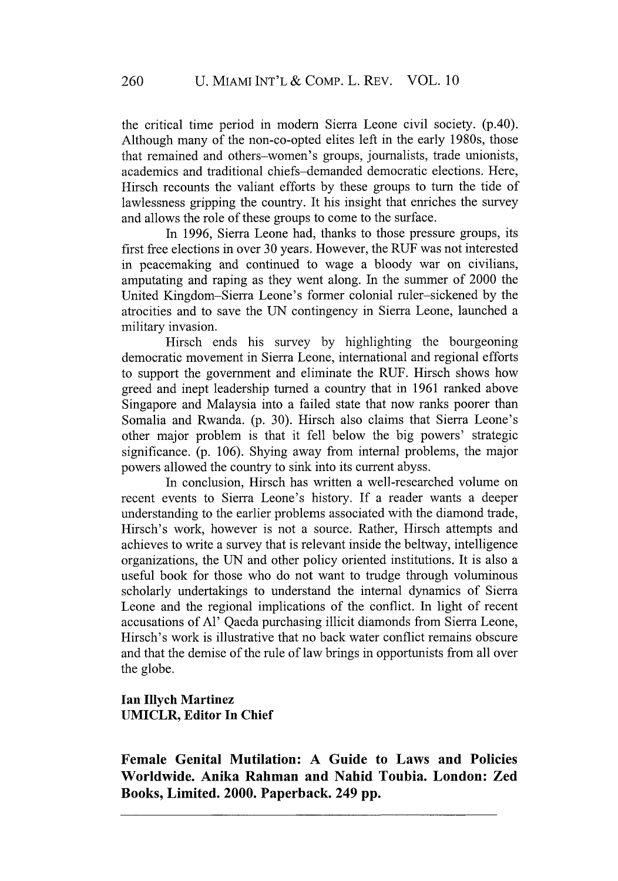the critical time period in modem Sierra Leone civil society. (p.40). Although many of the non-co-opted elites left in the early 1980s, those that remained and others-women's groups, journalists, trade unionists, academics and traditional chiefs-demanded democratic elections. Here, Hirsch recounts the valiant efforts by these groups to turn the tide of lawlessness gripping the country. It his insight that enriches the survey and allows the role of these groups to come to the surface.

In 1996, Sierra Leone had, thanks to those pressure groups, its first free elections in over 30 years. However, the RUF was not interested in peacemaking and continued to wage a bloody war on civilians, amputating and raping as they went along. In the summer of 2000 the United Kingdom-Sierra Leone's former colonial ruler-sickened by the atrocities and to save the UN contingency in Sierra Leone, launched a military invasion.

Hirsch ends his survey by highlighting the bourgeoning democratic movement in Sierra Leone, international and regional efforts to support the government and eliminate the RUF. Hirsch shows how greed and inept leadership turned a country that in 1961 ranked above Singapore and Malaysia into a failed state that now ranks poorer than Somalia and Rwanda. (p. 30). Hirsch also claims that Sierra Leone's other major problem is that it fell below the big powers' strategic significance. (p. 106). Shying away from internal problems, the major powers allowed the country to sink into its current abyss.

In conclusion, Hirsch has written a well-researched volume on recent events to Sierra Leone's history. If a reader wants a deeper understanding to the earlier problems associated with the diamond trade, Hirsch's work, however is not a source. Rather, Hirsch attempts and achieves to write a survey that is relevant inside the beltway, intelligence organizations, the UN and other policy oriented institutions. It is also a useful book for those who do not want to trudge through voluminous scholarly undertakings to understand the internal dynamics of Sierra Leone and the regional implications of the conflict. In light of recent accusations of **Al'** Qaeda purchasing illicit diamonds from Sierra Leone, Hirsch's work is illustrative that no back water conflict remains obscure and that the demise of the rule of law brings in opportunists from all over the globe.

**Ian Illych Martinez UMICLR, Editor In Chief**

**Female Genital Mutilation: A Guide to Laws and Policies Worldwide. Anika Rahman and Nahid Toubia. London: Zed Books, Limited. 2000. Paperback. 249 pp.**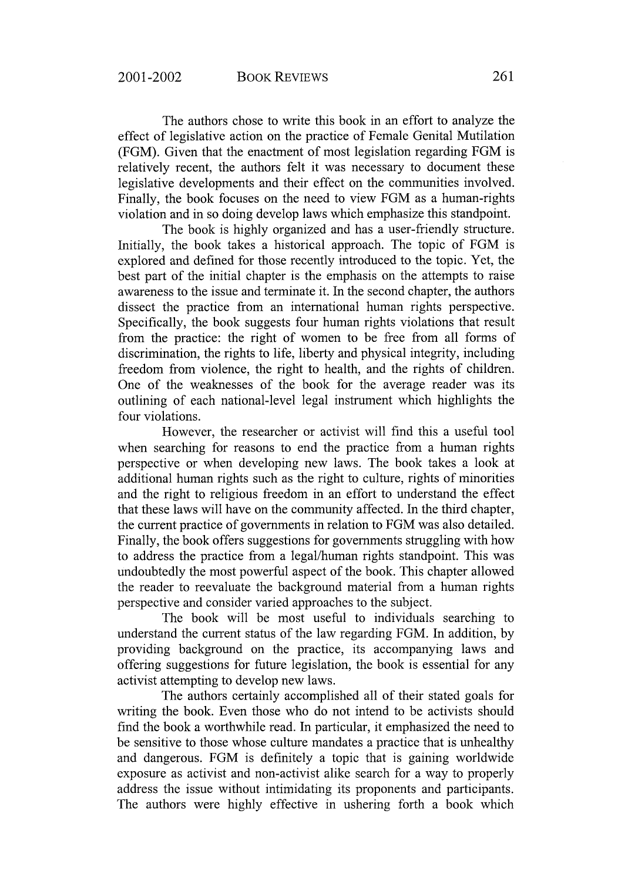The authors chose to write this book in an effort to analyze the effect of legislative action on the practice of Female Genital Mutilation (FGM). Given that the enactment of most legislation regarding FGM is relatively recent, the authors felt it was necessary to document these legislative developments and their effect on the communities involved. Finally, the book focuses on the need to view FGM as a human-rights violation and in so doing develop laws which emphasize this standpoint.

The book is highly organized and has a user-friendly structure. Initially, the book takes a historical approach. The topic of FGM is explored and defined for those recently introduced to the topic. Yet, the best part of the initial chapter is the emphasis on the attempts to raise awareness to the issue and terminate it. In the second chapter, the authors dissect the practice from an international human rights perspective. Specifically, the book suggests four human rights violations that result from the practice: the right of women to be free from all forms of discrimination, the rights to life, liberty and physical integrity, including freedom from violence, the right to health, and the rights of children. One of the weaknesses of the book for the average reader was its outlining of each national-level legal instrument which highlights the four violations.

However, the researcher or activist will find this a useful tool when searching for reasons to end the practice from a human rights perspective or when developing new laws. The book takes a look at additional human rights such as the right to culture, rights of minorities and the right to religious freedom in an effort to understand the effect that these laws will have on the community affected. In the third chapter, the current practice of governments in relation to FGM was also detailed. Finally, the book offers suggestions for governments struggling with how to address the practice from a legal/human rights standpoint. This was undoubtedly the most powerful aspect of the book. This chapter allowed the reader to reevaluate the background material from a human rights perspective and consider varied approaches to the subject.

The book will be most useful to individuals searching to understand the current status of the law regarding FGM. In addition, by providing background on the practice, its accompanying laws and offering suggestions for future legislation, the book is essential for any activist attempting to develop new laws.

The authors certainly accomplished all of their stated goals for writing the book. Even those who do not intend to be activists should find the book a worthwhile read. In particular, it emphasized the need to be sensitive to those whose culture mandates a practice that is unhealthy and dangerous. FGM is definitely a topic that is gaining worldwide exposure as activist and non-activist alike search for a way to properly address the issue without intimidating its proponents and participants. The authors were highly effective in ushering forth a book which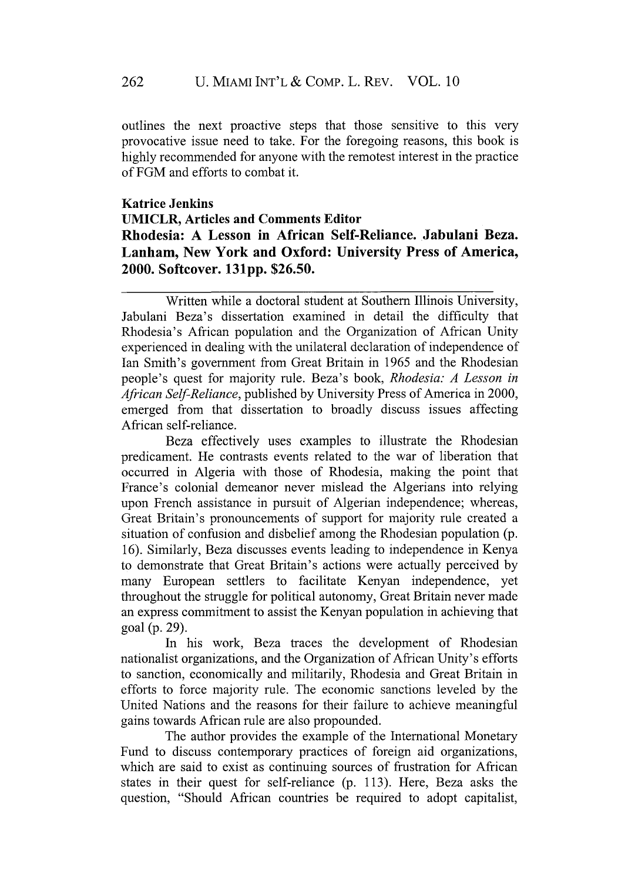outlines the next proactive steps that those sensitive to this very provocative issue need to take. For the foregoing reasons, this book is highly recommended for anyone with the remotest interest in the practice of FGM and efforts to combat it.

## **Katrice Jenkins UMICLR, Articles and Comments Editor Rhodesia: A Lesson in African Self-Reliance. Jabulani Beza. Lanham, New York and Oxford: University Press of America, 2000. Softcover. 131pp. \$26.50.**

Written while a doctoral student at Southern Illinois University, Jabulani Beza's dissertation examined in detail the difficulty that Rhodesia's African population and the Organization of African Unity experienced in dealing with the unilateral declaration of independence of Ian Smith's government from Great Britain in 1965 and the Rhodesian people's quest for majority rule. Beza's book, *Rhodesia: A Lesson in African Self-Reliance,* published by University Press of America in 2000, emerged from that dissertation to broadly discuss issues affecting African self-reliance.

Beza effectively uses examples to illustrate the Rhodesian predicament. He contrasts events related to the war of liberation that occurred in Algeria with those of Rhodesia, making the point that France's colonial demeanor never mislead the Algerians into relying upon French assistance in pursuit of Algerian independence; whereas, Great Britain's pronouncements of support for majority rule created a situation of confusion and disbelief among the Rhodesian population (p. 16). Similarly, Beza discusses events leading to independence in Kenya to demonstrate that Great Britain's actions were actually perceived by many European settlers to facilitate Kenyan independence, yet throughout the struggle for political autonomy, Great Britain never made an express commitment to assist the Kenyan population in achieving that goal (p. 29).

In his work, Beza traces the development of Rhodesian nationalist organizations, and the Organization of African Unity's efforts to sanction, economically and militarily, Rhodesia and Great Britain in efforts to force majority rule. The economic sanctions leveled by the United Nations and the reasons for their failure to achieve meaningful gains towards African rule are also propounded.

The author provides the example of the International Monetary Fund to discuss contemporary practices of foreign aid organizations, which are said to exist as continuing sources of frustration for African states in their quest for self-reliance (p. 113). Here, Beza asks the question, "Should African countries be required to adopt capitalist,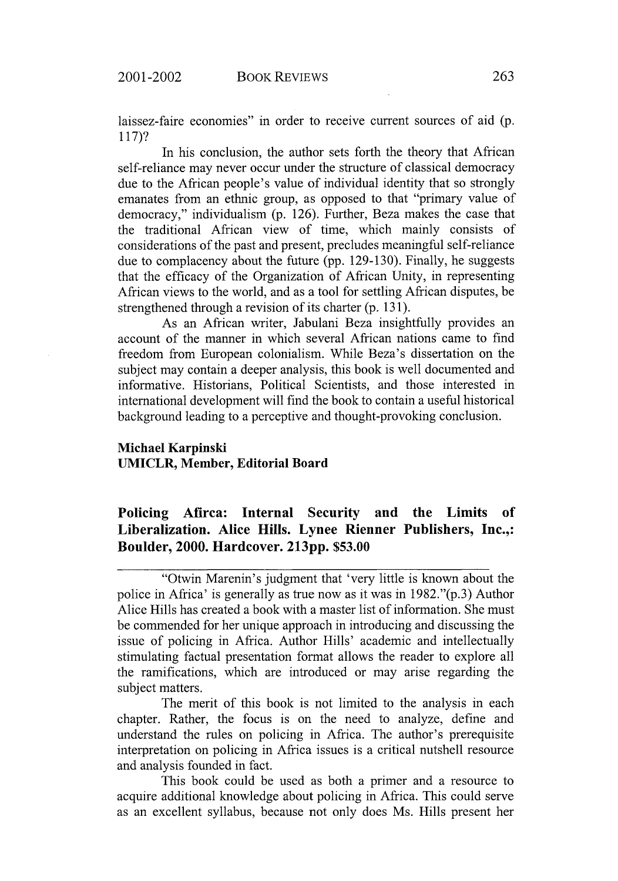laissez-faire economies" in order to receive current sources of aid (p. 117)?

In his conclusion, the author sets forth the theory that African self-reliance may never occur under the structure of classical democracy due to the African people's value of individual identity that so strongly emanates from an ethnic group, as opposed to that "primary value of democracy," individualism (p. 126). Further, Beza makes the case that the traditional African view of time, which mainly consists of considerations of the past and present, precludes meaningful self-reliance due to complacency about the future (pp. 129-130). Finally, he suggests that the efficacy of the Organization of African Unity, in representing African views to the world, and as a tool for settling African disputes, be strengthened through a revision of its charter (p. 131).

As an African writer, Jabulani Beza insightfully provides an account of the manner in which several African nations came to find freedom from European colonialism. While Beza's dissertation on the subject may contain a deeper analysis, this book is well documented and informative. Historians, Political Scientists, and those interested in international development will find the book to contain a useful historical background leading to a perceptive and thought-provoking conclusion.

#### **Michael Karpinski UMICLR, Member, Editorial Board**

**Policing Afirca: Internal Security and the Limits of Liberalization. Alice Hills. Lynee Rienner Publishers, Inc.,: Boulder, 2000. Hardcover. 213pp. \$53.00**

The merit of this book is not limited to the analysis in each chapter. Rather, the focus is on the need to analyze, define and understand the rules on policing in Africa. The author's prerequisite interpretation on policing in Africa issues is a critical nutshell resource and analysis founded in fact.

This book could be used as both a primer and a resource to acquire additional knowledge about policing in Africa. This could serve as an excellent syllabus, because not only does Ms. Hills present her

<sup>&</sup>quot;Otwin Marenin's judgment that 'very little is known about the police in Africa' is generally as true now as it was in 1982."(p.3) Author Alice Hills has created a book with a master list of information. She must be commended for her unique approach in introducing and discussing the issue of policing in Africa. Author Hills' academic and intellectually stimulating factual presentation format allows the reader to explore all the ramifications, which are introduced or may arise regarding the subject matters.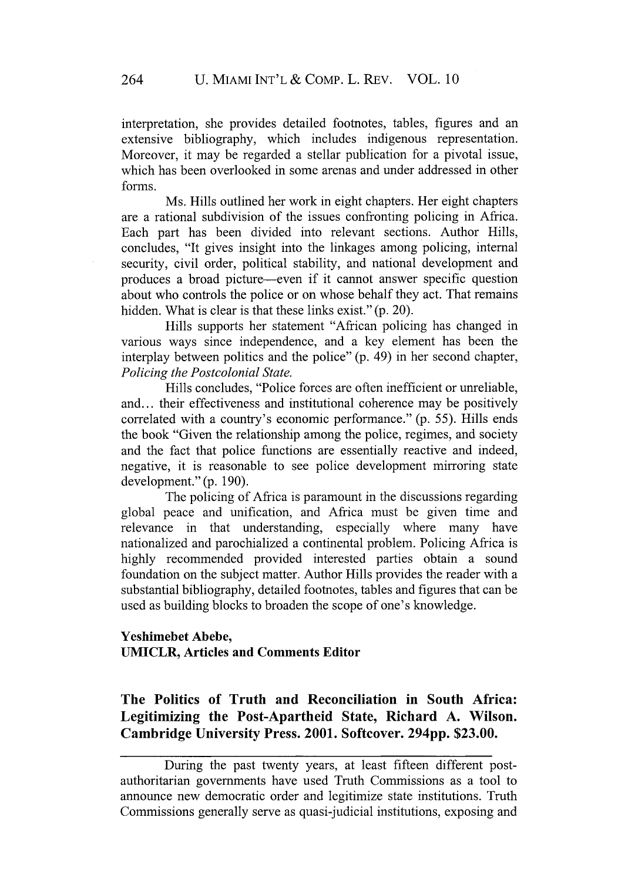interpretation, she provides detailed footnotes, tables, figures and an extensive bibliography, which includes indigenous representation. Moreover, it may be regarded a stellar publication for a pivotal issue, which has been overlooked in some arenas and under addressed in other forms.

Ms. Hills outlined her work in eight chapters. Her eight chapters are a rational subdivision of the issues confronting policing in Africa. Each part has been divided into relevant sections. Author Hills, concludes, "It gives insight into the linkages among policing, internal security, civil order, political stability, and national development and produces a broad picture-even if it cannot answer specific question about who controls the police or on whose behalf they act. That remains hidden. What is clear is that these links exist." (p. 20).

Hills supports her statement "African policing has changed in various ways since independence, and a key element has been the interplay between politics and the police" (p. 49) in her second chapter, *Policing the Postcolonial State.*

Hills concludes, "Police forces are often inefficient or unreliable, and... their effectiveness and institutional coherence may be positively correlated with a country's economic performance." (p. 55). Hills ends the book "Given the relationship among the police, regimes, and society and the fact that police functions are essentially reactive and indeed, negative, it is reasonable to see police development mirroring state development." (p. 190).

The policing of Africa is paramount in the discussions regarding global peace and unification, and Africa must be given time and relevance in that understanding, especially where many have nationalized and parochialized a continental problem. Policing Africa is highly recommended provided interested parties obtain a sound foundation on the subject matter. Author Hills provides the reader with a substantial bibliography, detailed footnotes, tables and figures that can be used as building blocks to broaden the scope of one's knowledge.

#### **Yeshimebet Abebe, UMICLR, Articles and Comments Editor**

## **The Politics of Truth and Reconciliation in South Africa: Legitimizing the Post-Apartheid State, Richard A. Wilson. Cambridge University Press. 2001. Softcover. 294pp. \$23.00.**

During the past twenty years, at least fifteen different postauthoritarian governments have used Truth Commissions as a tool to announce new democratic order and legitimize state institutions. Truth Commissions generally serve as quasi-judicial institutions, exposing and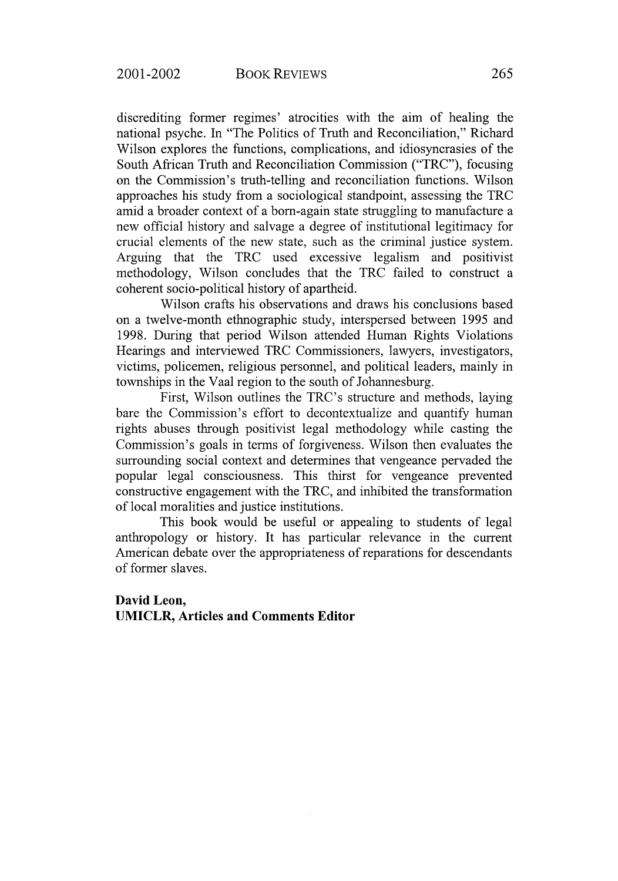discrediting former regimes' atrocities with the aim of healing the national psyche. In "The Politics of Truth and Reconciliation," Richard Wilson explores the functions, complications, and idiosyncrasies of the South African Truth and Reconciliation Commission ("TRC"), focusing on the Commission's truth-telling and reconciliation functions. Wilson approaches his study from a sociological standpoint, assessing the TRC amid a broader context of a born-again state struggling to manufacture a new official history and salvage a degree of institutional legitimacy for crucial elements of the new state, such as the criminal justice system. Arguing that the TRC used excessive legalism and positivist methodology, Wilson concludes that the TRC failed to construct a coherent socio-political history of apartheid.

Wilson crafts his observations and draws his conclusions based on a twelve-month ethnographic study, interspersed between 1995 and 1998. During that period Wilson attended Human Rights Violations Hearings and interviewed TRC Commissioners, lawyers, investigators, victims, policemen, religious personnel, and political leaders, mainly in townships in the Vaal region to the south of Johannesburg.

First, Wilson outlines the TRC's structure and methods, laying bare the Commission's effort to decontextualize and quantify human rights abuses through positivist legal methodology while casting the Commission's goals in terms of forgiveness. Wilson then evaluates the surrounding social context and determines that vengeance pervaded the popular legal consciousness. This thirst for vengeance prevented constructive engagement with the TRC, and inhibited the transformation of local moralities and justice institutions.

This book would be useful or appealing to students of legal anthropology or history. It has particular relevance in the current American debate over the appropriateness of reparations for descendants of former slaves.

#### **David Leon, UMICLR, Articles and Comments Editor**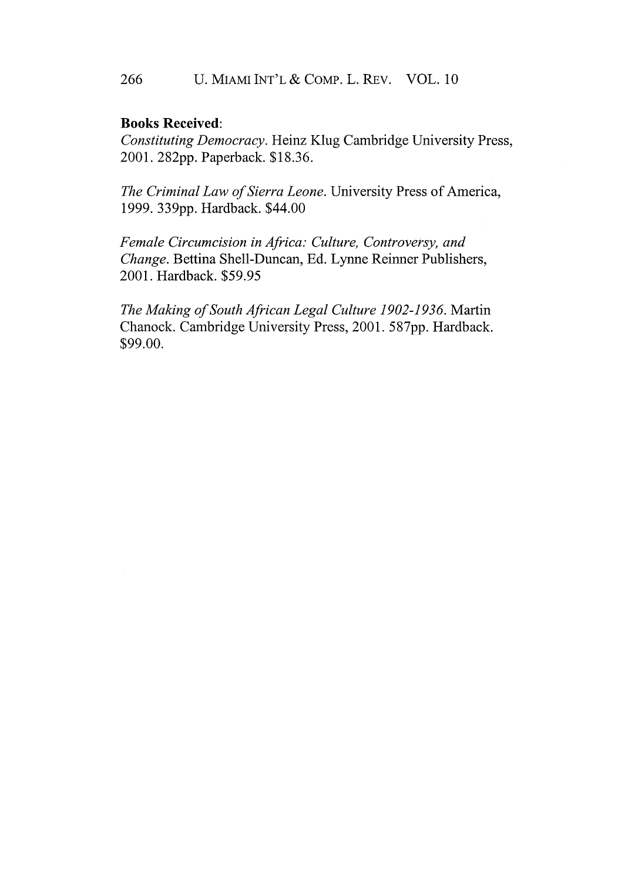#### 266 U. MIAMI INT'L **&** COMP. L. REV. VOL. 10

#### **Books Received:**

*Constituting Democracy.* Heinz Klug Cambridge University Press, 2001. **<sup>2</sup> <sup>8</sup> 2pp.** Paperback. **\$18.36.**

*The Criminal Law of Sierra Leone.* University Press of America, **1999. 339pp.** Hardback. \$44.00

*Female Circumcision in Africa: Culture, Controversy, and Change.* Bettina Shell-Duncan, **Ed.** Lynne Reinner Publishers, 2001. Hardback. **\$59.95**

*The Making of South African Legal Culture 1902-1936.* Martin Chanock. Cambridge University Press, 2001. **587pp.** Hardback. **\$99.00.**